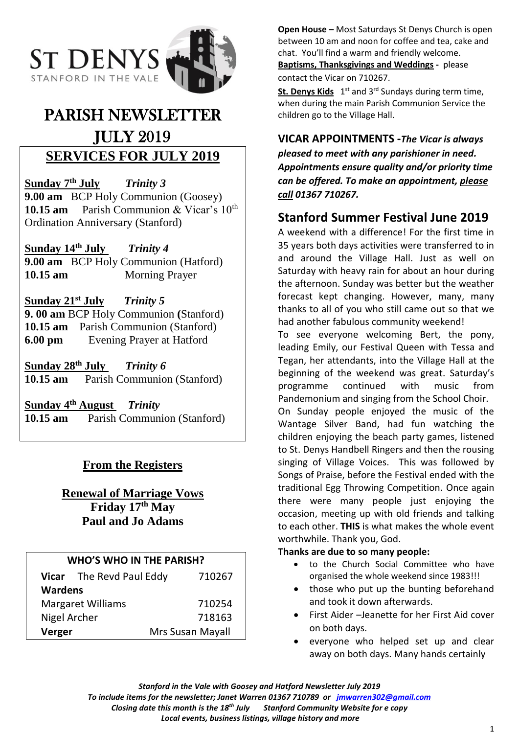

# PARISH NEWSLETTER JULY 2019 **SERVICES FOR JULY 2019**

Sunday 7<sup>th</sup> July **Trinity 3 9.00 am** BCP Holy Communion (Goosey) 10.15 am Parish Communion & Vicar's 10<sup>th</sup> Ordination Anniversary (Stanford)

**Sunday 14th July** *Trinity 4* **9.00 am** BCP Holy Communion (Hatford) **10.15 am** Morning Prayer

**Sunday 21st July** *Trinity 5* **9. 00 am** BCP Holy Communion **(**Stanford) **10.15 am** Parish Communion (Stanford) **6.00 pm** Evening Prayer at Hatford

**Sunday 28 th July** *Trinity 6* **10.15 am** Parish Communion (Stanford)

**Sunday 4 th August** *Trinity*  **10.15 am** Parish Communion (Stanford)

# **From the Registers**

# **Renewal of Marriage Vows Friday 17th May Paul and Jo Adams**

| <b>WHO'S WHO IN THE PARISH?</b> |                          |                  |
|---------------------------------|--------------------------|------------------|
|                                 | Vicar The Revd Paul Eddy | 710267           |
| <b>Wardens</b>                  |                          |                  |
| <b>Margaret Williams</b>        |                          | 710254           |
| Nigel Archer                    |                          | 718163           |
| Verger                          |                          | Mrs Susan Mayall |

**Open House –** Most Saturdays St Denys Church is open between 10 am and noon for coffee and tea, cake and chat. You'll find a warm and friendly welcome. **Baptisms, Thanksgivings and Weddings -** please contact the Vicar on 710267.

St. Denys Kids 1<sup>st</sup> and 3<sup>rd</sup> Sundays during term time, when during the main Parish Communion Service the children go to the Village Hall.

# **VICAR APPOINTMENTS -***The Vicar is always*

*pleased to meet with any parishioner in need. Appointments ensure quality and/or priority time can be offered. To make an appointment, please call 01367 710267.*

# **Stanford Summer Festival June 2019**

A weekend with a difference! For the first time in 35 years both days activities were transferred to in and around the Village Hall. Just as well on Saturday with heavy rain for about an hour during the afternoon. Sunday was better but the weather forecast kept changing. However, many, many thanks to all of you who still came out so that we had another fabulous community weekend!

To see everyone welcoming Bert, the pony, leading Emily, our Festival Queen with Tessa and Tegan, her attendants, into the Village Hall at the beginning of the weekend was great. Saturday's programme continued with music from Pandemonium and singing from the School Choir.

On Sunday people enjoyed the music of the Wantage Silver Band, had fun watching the children enjoying the beach party games, listened to St. Denys Handbell Ringers and then the rousing singing of Village Voices. This was followed by Songs of Praise, before the Festival ended with the traditional Egg Throwing Competition. Once again there were many people just enjoying the occasion, meeting up with old friends and talking to each other. **THIS** is what makes the whole event worthwhile. Thank you, God.

# **Thanks are due to so many people:**

- to the Church Social Committee who have organised the whole weekend since 1983!!!
- those who put up the bunting beforehand and took it down afterwards.
- First Aider –Jeanette for her First Aid cover on both days.
- everyone who helped set up and clear away on both days. Many hands certainly

*Stanford in the Vale with Goosey and Hatford Newsletter July 2019 To include items for the newsletter; Janet Warren 01367 710789 or [jmwarren302@gmail.com](mailto:jmwarren302@gmail.com) Closing date this month is the 18th July Stanford Community Website for e copy Local events, business listings, village history and more*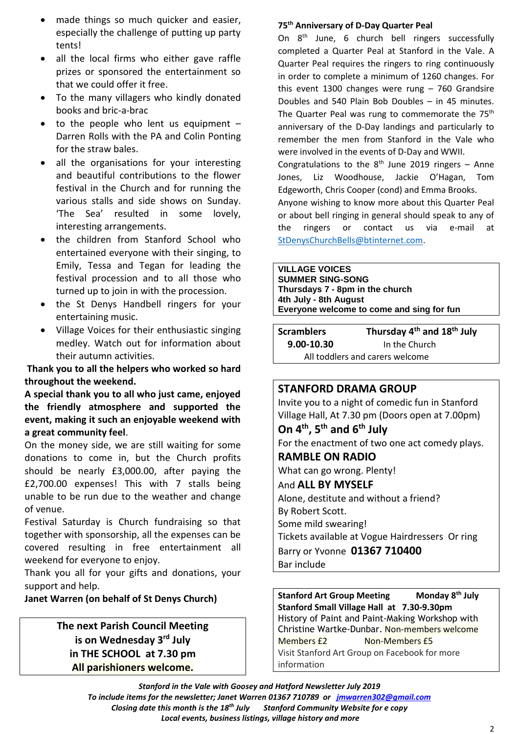- made things so much quicker and easier, especially the challenge of putting up party tents!
- all the local firms who either gave raffle prizes or sponsored the entertainment so that we could offer it free.
- To the many villagers who kindly donated books and bric-a-brac
- to the people who lent us equipment  $-$ Darren Rolls with the PA and Colin Ponting for the straw bales.
- all the organisations for your interesting and beautiful contributions to the flower festival in the Church and for running the various stalls and side shows on Sunday. 'The Sea' resulted in some lovely, interesting arrangements.
- the children from Stanford School who entertained everyone with their singing, to Emily, Tessa and Tegan for leading the festival procession and to all those who turned up to join in with the procession.
- the St Denys Handbell ringers for your entertaining music.
- Village Voices for their enthusiastic singing medley. Watch out for information about their autumn activities.

**Thank you to all the helpers who worked so hard throughout the weekend.**

**A special thank you to all who just came, enjoyed the friendly atmosphere and supported the event, making it such an enjoyable weekend with a great community feel**.

On the money side, we are still waiting for some donations to come in, but the Church profits should be nearly £3,000.00, after paying the £2,700.00 expenses! This with 7 stalls being unable to be run due to the weather and change of venue.

Festival Saturday is Church fundraising so that together with sponsorship, all the expenses can be covered resulting in free entertainment all weekend for everyone to enjoy.

Thank you all for your gifts and donations, your support and help.

### **Janet Warren (on behalf of St Denys Church)**

**The next Parish Council Meeting is on Wednesday 3 rd July in THE SCHOOL at 7.30 pm All parishioners welcome.**

#### **75th Anniversary of D-Day Quarter Peal**

On 8th June, 6 church bell ringers successfully completed a Quarter Peal at Stanford in the Vale. A Quarter Peal requires the ringers to ring continuously in order to complete a minimum of 1260 changes. For this event 1300 changes were rung – 760 Grandsire Doubles and 540 Plain Bob Doubles – in 45 minutes. The Quarter Peal was rung to commemorate the 75<sup>th</sup> anniversary of the D-Day landings and particularly to remember the men from Stanford in the Vale who were involved in the events of D-Day and WWII. Congratulations to the  $8<sup>th</sup>$  June 2019 ringers - Anne Jones, Liz Woodhouse, Jackie O'Hagan, Tom Edgeworth, Chris Cooper (cond) and Emma Brooks. Anyone wishing to know more about this Quarter Peal or about bell ringing in general should speak to any of

the ringers or contact us via e-mail at [StDenysChurchBells@btinternet.com.](mailto:StDenysChurchBells@btinternet.com)

#### **VILLAGE VOICES**

**SUMMER SING-SONG Thursdays 7 - 8pm in the church 4th July - 8th August Everyone welcome to come and sing for fun**

**Scramblers Thursday 4 th and 18th July 9.00-10.30** In the Church All toddlers and carers welcome

### **STANFORD DRAMA GROUP**

Invite you to a night of comedic fun in Stanford Village Hall, At 7.30 pm (Doors open at 7.00pm) **On 4th, 5th and 6th July** For the enactment of two one act comedy plays. **RAMBLE ON RADIO** What can go wrong. Plenty! And **ALL BY MYSELF** Alone, destitute and without a friend? By Robert Scott. Some mild swearing! Tickets available at Vogue Hairdressers Or ring Barry or Yvonne **01367 710400**  Bar include

**Stanford Art Group Meeting Monday 8<sup>th</sup> July Stanford Small Village Hall at 7.30-9.30pm** History of Paint and Paint-Making Workshop with Christine Wartke-Dunbar. Non-members welcome Members £2 Non-Members £5 Visit Stanford Art Group on Facebook for more information

*Stanford in the Vale with Goosey and Hatford Newsletter July 2019 To include items for the newsletter; Janet Warren 01367 710789 or [jmwarren302@gmail.com](mailto:jmwarren302@gmail.com) Closing date this month is the 18th July Stanford Community Website for e copy Local events, business listings, village history and more*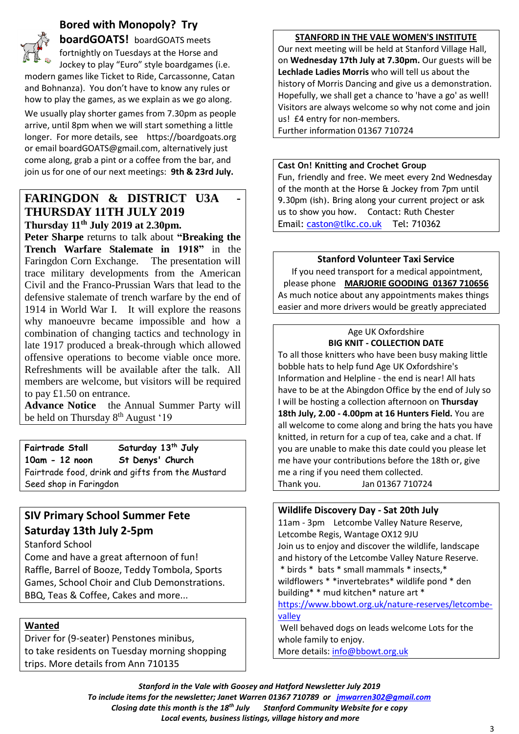# **Bored with Monopoly? Try**



**boardGOATS!** boardGOATS meets fortnightly on Tuesdays at the Horse and Jockey to play "Euro" style boardgames (i.e. modern games like Ticket to Ride, Carcassonne, Catan

and Bohnanza). You don't have to know any rules or how to play the games, as we explain as we go along.

We usually play shorter games from 7.30pm as people arrive, until 8pm when we will start something a little longer. For more details, see https://boardgoats.org or email boardGOATS@gmail.com, alternatively just come along, grab a pint or a coffee from the bar, and join us for one of our next meetings: **9th & 23rd July.**

## **FARINGDON & DISTRICT U3A THURSDAY 11TH JULY 2019 Thursday 11th July 2019 at 2.30pm.**

**Peter Sharpe** returns to talk about **"Breaking the Trench Warfare Stalemate in 1918"** in the Faringdon Corn Exchange. The presentation will trace military developments from the American Civil and the Franco-Prussian Wars that lead to the defensive stalemate of trench warfare by the end of 1914 in World War I. It will explore the reasons why manoeuvre became impossible and how a combination of changing tactics and technology in late 1917 produced a break-through which allowed offensive operations to become viable once more. Refreshments will be available after the talk. All members are welcome, but visitors will be required to pay £1.50 on entrance.

**Advance Notice** the Annual Summer Party will be held on Thursday 8<sup>th</sup> August '19

**Fairtrade Stall Saturday 13th July 10am - 12 noon St Denys' Church** Fairtrade food, drink and gifts from the Mustard Seed shop in Faringdon

# **SIV Primary School Summer Fete Saturday 13th July 2-5pm**

Stanford School

Come and have a great afternoon of fun! Raffle, Barrel of Booze, Teddy Tombola, Sports Games, School Choir and Club Demonstrations. BBQ, Teas & Coffee, Cakes and more...

### **Wanted**

Driver for (9-seater) Penstones minibus, to take residents on Tuesday morning shopping trips. More details from Ann 710135

#### **STANFORD IN THE VALE WOMEN'S INSTITUTE**

Our next meeting will be held at Stanford Village Hall, on **Wednesday 17th July at 7.30pm.** Our guests will be **Lechlade Ladies Morris** who will tell us about the history of Morris Dancing and give us a demonstration. Hopefully, we shall get a chance to 'have a go' as well! Visitors are always welcome so why not come and join us! £4 entry for non-members.

Further information 01367 710724

#### **Cast On! Knitting and Crochet Group**

Fun, friendly and free. We meet every 2nd Wednesday of the month at the Horse & Jockey from 7pm until 9.30pm (ish). Bring along your current project or ask us to show you how. Contact: Ruth Chester Email: [caston@tlkc.co.uk](mailto:caston@tlkc.co.uk) Tel: 710362

### **Stanford Volunteer Taxi Service**

If you need transport for a medical appointment, please phone **MARJORIE GOODING 01367 710656** As much notice about any appointments makes things easier and more drivers would be greatly appreciated

#### Age UK Oxfordshire **BIG KNIT - COLLECTION DATE**

To all those knitters who have been busy making little bobble hats to help fund Age UK Oxfordshire's Information and Helpline - the end is near! All hats have to be at the Abingdon Office by the end of July so I will be hosting a collection afternoon on **Thursday 18th July, 2.00 - 4.00pm at 16 Hunters Field.** You are all welcome to come along and bring the hats you have knitted, in return for a cup of tea, cake and a chat. If you are unable to make this date could you please let me have your contributions before the 18th or, give me a ring if you need them collected. Thank you. Jan 01367 710724

| <b>Wildlife Discovery Day - Sat 20th July</b>         |  |  |
|-------------------------------------------------------|--|--|
| 11am - 3pm Letcombe Valley Nature Reserve,            |  |  |
| Letcombe Regis, Wantage OX12 9JU                      |  |  |
| Join us to enjoy and discover the wildlife, landscape |  |  |
| and history of the Letcombe Valley Nature Reserve.    |  |  |
| * birds * bats * small mammals * insects, *           |  |  |
| wildflowers * *invertebrates* wildlife pond * den     |  |  |
| building* * mud kitchen* nature art *                 |  |  |
| https://www.bbowt.org.uk/nature-reserves/letcombe-    |  |  |
| valley                                                |  |  |
| Well behaved dogs on leads welcome Lots for the       |  |  |
| whole family to enjoy.                                |  |  |

More details: [info@bbowt.org.uk](mailto:info@bbowt.org.uk)

*Stanford in the Vale with Goosey and Hatford Newsletter July 2019 To include items for the newsletter; Janet Warren 01367 710789 or [jmwarren302@gmail.com](mailto:jmwarren302@gmail.com) Closing date this month is the 18th July Stanford Community Website for e copy Local events, business listings, village history and more*